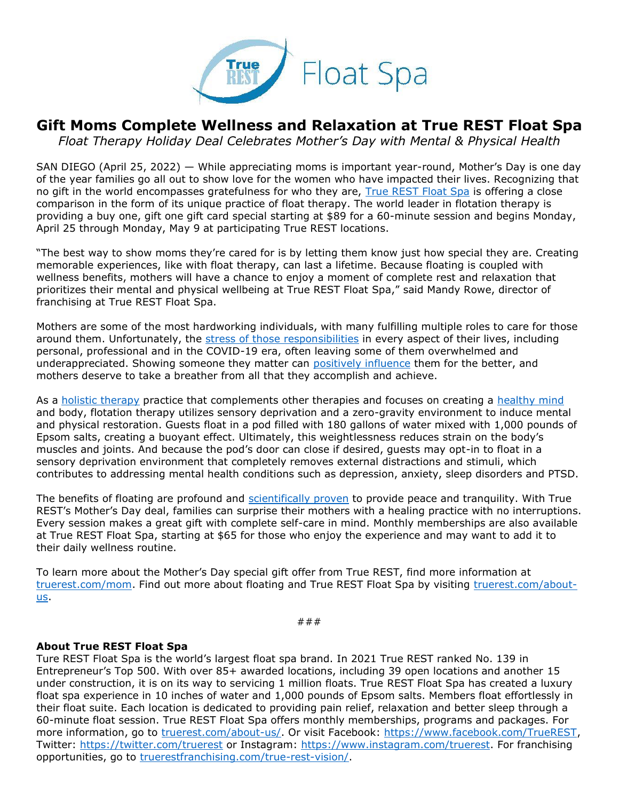

## **Gift Moms Complete Wellness and Relaxation at True REST Float Spa**

*Float Therapy Holiday Deal Celebrates Mother's Day with Mental & Physical Health*

SAN DIEGO (April 25, 2022) — While appreciating moms is important year-round, Mother's Day is one day of the year families go all out to show love for the women who have impacted their lives. Recognizing that no gift in the world encompasses gratefulness for who they are, [True REST Float Spa](https://truerest.com/float-therapy/?utm_source=true+rest+press+release&utm_medium=accesswire.com&utm_campaign=true+rest+2022+mother%27s+day+hq&utm_content=true+rest+hyperlink+1) is offering a close comparison in the form of its unique practice of float therapy. The world leader in flotation therapy is providing a buy one, gift one gift card special starting at \$89 for a 60-minute session and begins Monday, April 25 through Monday, May 9 at participating True REST locations.

"The best way to show moms they're cared for is by letting them know just how special they are. Creating memorable experiences, like with float therapy, can last a lifetime. Because floating is coupled with wellness benefits, mothers will have a chance to enjoy a moment of complete rest and relaxation that prioritizes their mental and physical wellbeing at True REST Float Spa," said Mandy Rowe, director of franchising at True REST Float Spa.

Mothers are some of the most hardworking individuals, with many fulfilling multiple roles to care for those around them. Unfortunately, the [stress of those responsibilities](https://www.mckinsey.com/featured-insights/diversity-and-inclusion/for-mothers-in-the-workplace-a-year-and-counting-like-no-other) in every aspect of their lives, including personal, professional and in the COVID-19 era, often leaving some of them overwhelmed and underappreciated. Showing someone they matter can [positively influence](https://hbr.org/2012/01/why-appreciation-matters-so-mu.html) them for the better, and mothers deserve to take a breather from all that they accomplish and achieve.

As a [holistic therapy](https://truerest.com/how-float-therapy-is-a-holistic-therapy/?utm_source=true+rest+press+release&utm_medium=accesswire.com&utm_campaign=true+rest+2022+mother%27s+day+hq&utm_content=true+rest+hyperlink+4) practice that complements other therapies and focuses on creating a [healthy mind](https://truerest.com/how-float-therapy-supports-a-healthy-mind/?utm_source=true+rest+press+release&utm_medium=accesswire.com&utm_campaign=true+rest+2022+mother%27s+day+hq&utm_content=true+rest+hyperlink+3) and body, flotation therapy utilizes sensory deprivation and a zero-gravity environment to induce mental and physical restoration. Guests float in a pod filled with 180 gallons of water mixed with 1,000 pounds of Epsom salts, creating a buoyant effect. Ultimately, this weightlessness reduces strain on the body's muscles and joints. And because the pod's door can close if desired, guests may opt-in to float in a sensory deprivation environment that completely removes external distractions and stimuli, which contributes to addressing mental health conditions such as depression, anxiety, sleep disorders and PTSD.

The benefits of floating are profound and [scientifically proven](https://www.naturalmedicinejournal.com/journal/2021-04/floatation-therapy-specific-health-concerns) to provide peace and tranquility. With True REST's Mother's Day deal, families can surprise their mothers with a healing practice with no interruptions. Every session makes a great gift with complete self-care in mind. Monthly memberships are also available at True REST Float Spa, starting at \$65 for those who enjoy the experience and may want to add it to their daily wellness routine.

To learn more about the Mother's Day special gift offer from True REST, find more information at [truerest.com/mom.](https://truerest.com/mom/?utm_source=true+rest+press+release&utm_medium=accesswire.com&utm_campaign=true+rest+2022+mother%27s+day+hq&utm_content=true+rest+hyperlink+5) Find out more about floating and True REST Float Spa by visiting [truerest.com/about](https://truerest.com/about-us/?utm_source=true+rest+press+release&utm_medium=accesswire.com&utm_campaign=true+rest+2022+mother%27s+day+hq&utm_content=true+rest+hyperlink+2)[us.](https://truerest.com/about-us/?utm_source=true+rest+press+release&utm_medium=accesswire.com&utm_campaign=true+rest+2022+mother%27s+day+hq&utm_content=true+rest+hyperlink+2)

###

## **About True REST Float Spa**

Ture REST Float Spa is the world's largest float spa brand. In 2021 True REST ranked No. 139 in Entrepreneur's Top 500. With over 85+ awarded locations, including 39 open locations and another 15 under construction, it is on its way to servicing 1 million floats. True REST Float Spa has created a luxury float spa experience in 10 inches of water and 1,000 pounds of Epsom salts. Members float effortlessly in their float suite. Each location is dedicated to providing pain relief, relaxation and better sleep through a 60-minute float session. True REST Float Spa offers monthly memberships, programs and packages. For more information, go to [truerest.com/about-us/.](https://truerest.com/about-us/?utm_source=true+rest+press+release&utm_medium=accesswire.com&utm_campaign=true+rest+2022+mother%27s+day+hq&utm_content=true+rest+boilerplate+1) Or visit Facebook: [https://www.facebook.com/TrueREST,](https://www.facebook.com/TrueREST) Twitter:<https://twitter.com/truerest> or Instagram: [https://www.instagram.com/truerest.](https://www.instagram.com/truerest) For franchising opportunities, go to [truerestfranchising.com/true-rest-vision/.](https://www.truerestfranchising.com/true-rest-vision/?utm_source=true+rest+press+release&utm_medium=accesswire.com&utm_campaign=true+rest+2022+mother%27s+day+hq&utm_content=true+rest+boilerplate+2)